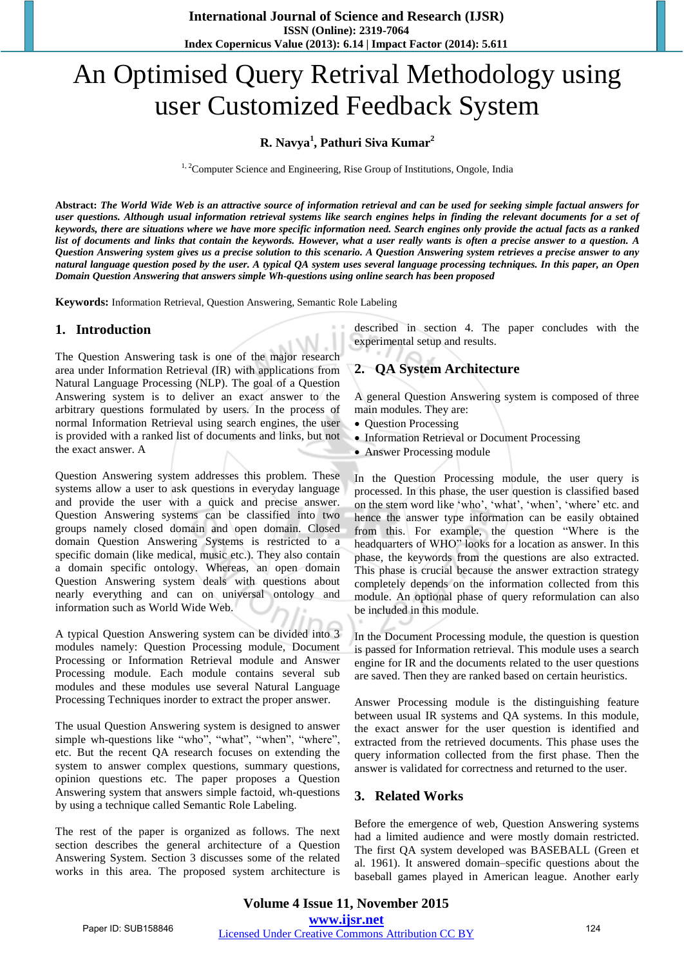# An Optimised Query Retrival Methodology using user Customized Feedback System

### **R. Navya<sup>1</sup> , Pathuri Siva Kumar<sup>2</sup>**

<sup>1, 2</sup>Computer Science and Engineering, Rise Group of Institutions, Ongole, India

Abstract: The World Wide Web is an attractive source of information retrieval and can be used for seeking simple factual answers for user questions. Although usual information retrieval systems like search engines helps in finding the relevant documents for a set of keywords, there are situations where we have more specific information need. Search engines only provide the actual facts as a ranked list of documents and links that contain the keywords. However, what a user really wants is often a precise answer to a question. A Question Answering system gives us a precise solution to this scenario. A Question Answering system retrieves a precise answer to any natural language question posed by the user. A typical QA system uses several language processing techniques. In this paper, an Open *Domain Question Answering that answers simple Wh-questions using online search has been proposed*

**Keywords:** Information Retrieval, Question Answering, Semantic Role Labeling

#### **1. Introduction**

The Question Answering task is one of the major research area under Information Retrieval (IR) with applications from Natural Language Processing (NLP). The goal of a Question Answering system is to deliver an exact answer to the arbitrary questions formulated by users. In the process of normal Information Retrieval using search engines, the user is provided with a ranked list of documents and links, but not the exact answer. A

Question Answering system addresses this problem. These systems allow a user to ask questions in everyday language and provide the user with a quick and precise answer. Question Answering systems can be classified into two groups namely closed domain and open domain. Closed domain Question Answering Systems is restricted to a specific domain (like medical, music etc.). They also contain a domain specific ontology. Whereas, an open domain Question Answering system deals with questions about nearly everything and can on universal ontology and information such as World Wide Web.

A typical Question Answering system can be divided into 3 modules namely: Question Processing module, Document Processing or Information Retrieval module and Answer Processing module. Each module contains several sub modules and these modules use several Natural Language Processing Techniques inorder to extract the proper answer.

The usual Question Answering system is designed to answer simple wh-questions like "who", "what", "when", "where", etc. But the recent QA research focuses on extending the system to answer complex questions, summary questions, opinion questions etc. The paper proposes a Question Answering system that answers simple factoid, wh-questions by using a technique called Semantic Role Labeling.

The rest of the paper is organized as follows. The next section describes the general architecture of a Question Answering System. Section 3 discusses some of the related works in this area. The proposed system architecture is

described in section 4. The paper concludes with the experimental setup and results.

## **2. QA System Architecture**

A general Question Answering system is composed of three main modules. They are:

- Question Processing
- Information Retrieval or Document Processing
- Answer Processing module

In the Question Processing module, the user query is processed. In this phase, the user question is classified based on the stem word like "who", "what", "when", "where" etc. and hence the answer type information can be easily obtained from this. For example, the question "Where is the headquarters of WHO" looks for a location as answer. In this phase, the keywords from the questions are also extracted. This phase is crucial because the answer extraction strategy completely depends on the information collected from this module. An optional phase of query reformulation can also be included in this module.

In the Document Processing module, the question is question is passed for Information retrieval. This module uses a search engine for IR and the documents related to the user questions are saved. Then they are ranked based on certain heuristics.

Answer Processing module is the distinguishing feature between usual IR systems and QA systems. In this module, the exact answer for the user question is identified and extracted from the retrieved documents. This phase uses the query information collected from the first phase. Then the answer is validated for correctness and returned to the user.

#### **3. Related Works**

Before the emergence of web, Question Answering systems had a limited audience and were mostly domain restricted. The first QA system developed was BASEBALL (Green et al. 1961). It answered domain–specific questions about the baseball games played in American league. Another early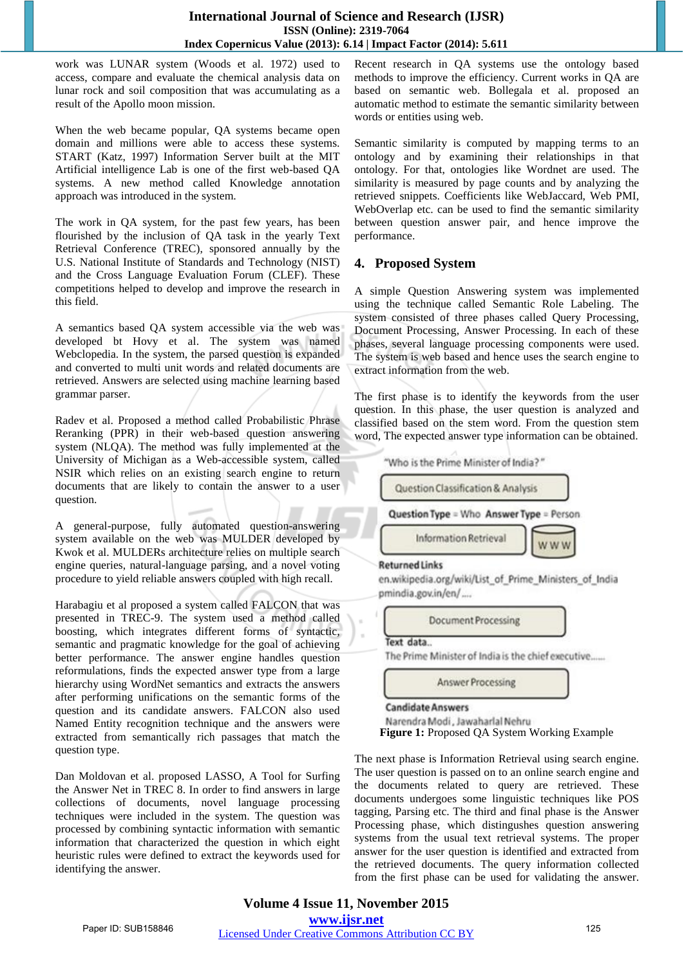work was LUNAR system (Woods et al. 1972) used to access, compare and evaluate the chemical analysis data on lunar rock and soil composition that was accumulating as a result of the Apollo moon mission.

When the web became popular, QA systems became open domain and millions were able to access these systems. START (Katz, 1997) Information Server built at the MIT Artificial intelligence Lab is one of the first web-based QA systems. A new method called Knowledge annotation approach was introduced in the system.

The work in QA system, for the past few years, has been flourished by the inclusion of QA task in the yearly Text Retrieval Conference (TREC), sponsored annually by the U.S. National Institute of Standards and Technology (NIST) and the Cross Language Evaluation Forum (CLEF). These competitions helped to develop and improve the research in this field.

A semantics based QA system accessible via the web was developed bt Hovy et al. The system was named Webclopedia. In the system, the parsed question is expanded and converted to multi unit words and related documents are retrieved. Answers are selected using machine learning based grammar parser.

Radev et al. Proposed a method called Probabilistic Phrase Reranking (PPR) in their web-based question answering system (NLQA). The method was fully implemented at the University of Michigan as a Web-accessible system, called NSIR which relies on an existing search engine to return documents that are likely to contain the answer to a user question.

A general-purpose, fully automated question-answering system available on the web was MULDER developed by Kwok et al. MULDERs architecture relies on multiple search engine queries, natural-language parsing, and a novel voting procedure to yield reliable answers coupled with high recall.

Harabagiu et al proposed a system called FALCON that was presented in TREC-9. The system used a method called boosting, which integrates different forms of syntactic, semantic and pragmatic knowledge for the goal of achieving better performance. The answer engine handles question reformulations, finds the expected answer type from a large hierarchy using WordNet semantics and extracts the answers after performing unifications on the semantic forms of the question and its candidate answers. FALCON also used Named Entity recognition technique and the answers were extracted from semantically rich passages that match the question type.

Dan Moldovan et al. proposed LASSO, A Tool for Surfing the Answer Net in TREC 8. In order to find answers in large collections of documents, novel language processing techniques were included in the system. The question was processed by combining syntactic information with semantic information that characterized the question in which eight heuristic rules were defined to extract the keywords used for identifying the answer.

Recent research in QA systems use the ontology based methods to improve the efficiency. Current works in QA are based on semantic web. Bollegala et al. proposed an automatic method to estimate the semantic similarity between words or entities using web.

Semantic similarity is computed by mapping terms to an ontology and by examining their relationships in that ontology. For that, ontologies like Wordnet are used. The similarity is measured by page counts and by analyzing the retrieved snippets. Coefficients like WebJaccard, Web PMI, WebOverlap etc. can be used to find the semantic similarity between question answer pair, and hence improve the performance.

## **4. Proposed System**

A simple Question Answering system was implemented using the technique called Semantic Role Labeling. The system consisted of three phases called Query Processing, Document Processing, Answer Processing. In each of these phases, several language processing components were used. The system is web based and hence uses the search engine to extract information from the web.

The first phase is to identify the keywords from the user question. In this phase, the user question is analyzed and classified based on the stem word. From the question stem word, The expected answer type information can be obtained.



The next phase is Information Retrieval using search engine. The user question is passed on to an online search engine and the documents related to query are retrieved. These documents undergoes some linguistic techniques like POS tagging, Parsing etc. The third and final phase is the Answer Processing phase, which distingushes question answering systems from the usual text retrieval systems. The proper answer for the user question is identified and extracted from the retrieved documents. The query information collected from the first phase can be used for validating the answer.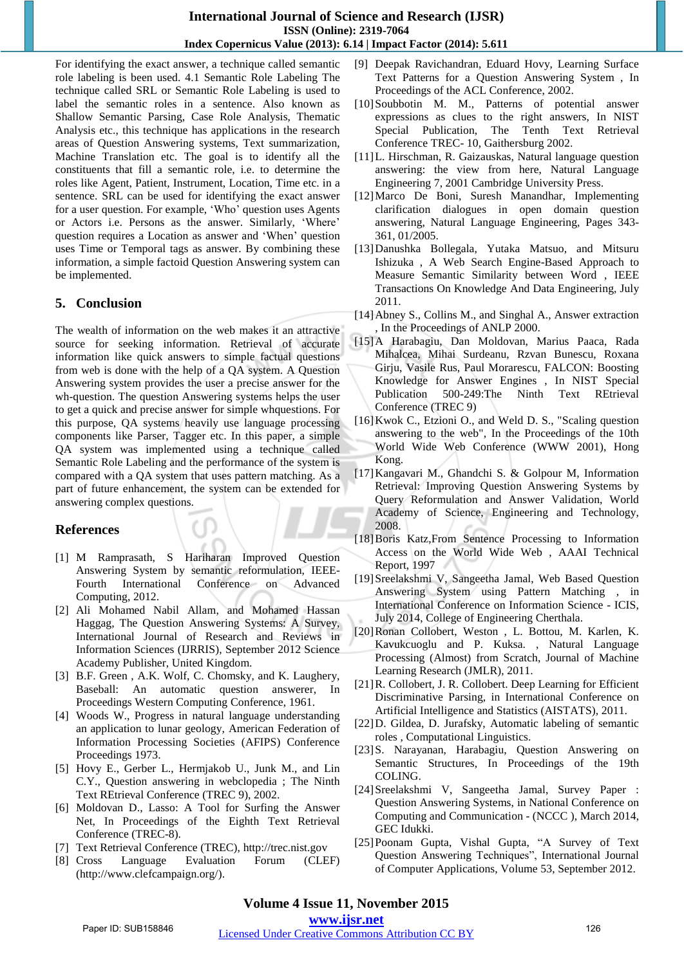#### **International Journal of Science and Research (IJSR) ISSN (Online): 2319-7064 Index Copernicus Value (2013): 6.14 | Impact Factor (2014): 5.611**

For identifying the exact answer, a technique called semantic role labeling is been used. 4.1 Semantic Role Labeling The technique called SRL or Semantic Role Labeling is used to label the semantic roles in a sentence. Also known as Shallow Semantic Parsing, Case Role Analysis, Thematic Analysis etc., this technique has applications in the research areas of Question Answering systems, Text summarization, Machine Translation etc. The goal is to identify all the constituents that fill a semantic role, i.e. to determine the roles like Agent, Patient, Instrument, Location, Time etc. in a sentence. SRL can be used for identifying the exact answer for a user question. For example, "Who" question uses Agents or Actors i.e. Persons as the answer. Similarly, "Where" question requires a Location as answer and "When" question uses Time or Temporal tags as answer. By combining these information, a simple factoid Question Answering system can be implemented.

## **5. Conclusion**

The wealth of information on the web makes it an attractive source for seeking information. Retrieval of accurate information like quick answers to simple factual questions from web is done with the help of a QA system. A Question Answering system provides the user a precise answer for the wh-question. The question Answering systems helps the user to get a quick and precise answer for simple whquestions. For this purpose, QA systems heavily use language processing components like Parser, Tagger etc. In this paper, a simple QA system was implemented using a technique called Semantic Role Labeling and the performance of the system is compared with a QA system that uses pattern matching. As a part of future enhancement, the system can be extended for answering complex questions.

## **References**

- [1] M Ramprasath, S Hariharan Improved Question Answering System by semantic reformulation, IEEE-Fourth International Conference on Advanced Computing, 2012.
- [2] Ali Mohamed Nabil Allam, and Mohamed Hassan Haggag, The Question Answering Systems: A Survey, International Journal of Research and Reviews in Information Sciences (IJRRIS), September 2012 Science Academy Publisher, United Kingdom.
- [3] B.F. Green, A.K. Wolf, C. Chomsky, and K. Laughery, Baseball: An automatic question answerer, In Proceedings Western Computing Conference, 1961.
- [4] Woods W., Progress in natural language understanding an application to lunar geology, American Federation of Information Processing Societies (AFIPS) Conference Proceedings 1973.
- [5] Hovy E., Gerber L., Hermjakob U., Junk M., and Lin C.Y., Question answering in webclopedia ; The Ninth Text REtrieval Conference (TREC 9), 2002.
- [6] Moldovan D., Lasso: A Tool for Surfing the Answer Net, In Proceedings of the Eighth Text Retrieval Conference (TREC-8).
- [7] Text Retrieval Conference (TREC), http://trec.nist.gov
- [8] Cross Language Evaluation Forum (CLEF) (http://www.clefcampaign.org/).
- [9] Deepak Ravichandran, Eduard Hovy, Learning Surface Text Patterns for a Question Answering System , In Proceedings of the ACL Conference, 2002.
- [10]Soubbotin M. M., Patterns of potential answer expressions as clues to the right answers, In NIST Special Publication, The Tenth Text Retrieval Conference TREC- 10, Gaithersburg 2002.
- [11]L. Hirschman, R. Gaizauskas, Natural language question answering: the view from here, Natural Language Engineering 7, 2001 Cambridge University Press.
- [12]Marco De Boni, Suresh Manandhar, Implementing clarification dialogues in open domain question answering, Natural Language Engineering, Pages 343- 361, 01/2005.
- [13]Danushka Bollegala, Yutaka Matsuo, and Mitsuru Ishizuka , A Web Search Engine-Based Approach to Measure Semantic Similarity between Word , IEEE Transactions On Knowledge And Data Engineering, July 2011.
- [14]Abney S., Collins M., and Singhal A., Answer extraction , In the Proceedings of ANLP 2000.
- [15]A Harabagiu, Dan Moldovan, Marius Paaca, Rada Mihalcea, Mihai Surdeanu, Rzvan Bunescu, Roxana Girju, Vasile Rus, Paul Morarescu, FALCON: Boosting Knowledge for Answer Engines , In NIST Special Publication 500-249:The Ninth Text REtrieval Conference (TREC 9)
- [16]Kwok C., Etzioni O., and Weld D. S., "Scaling question answering to the web", In the Proceedings of the 10th World Wide Web Conference (WWW 2001), Hong Kong.
- [17]Kangavari M., Ghandchi S. & Golpour M, Information Retrieval: Improving Question Answering Systems by Query Reformulation and Answer Validation, World Academy of Science, Engineering and Technology, 2008.
- [18]Boris Katz,From Sentence Processing to Information Access on the World Wide Web , AAAI Technical Report, 1997
- [19]Sreelakshmi V, Sangeetha Jamal, Web Based Question Answering System using Pattern Matching , in International Conference on Information Science - ICIS, July 2014, College of Engineering Cherthala.
- [20]Ronan Collobert, Weston , L. Bottou, M. Karlen, K. Kavukcuoglu and P. Kuksa. , Natural Language Processing (Almost) from Scratch, Journal of Machine Learning Research (JMLR), 2011.
- [21]R. Collobert, J. R. Collobert. Deep Learning for Efficient Discriminative Parsing, in International Conference on Artificial Intelligence and Statistics (AISTATS), 2011.
- [22]D. Gildea, D. Jurafsky, Automatic labeling of semantic roles , Computational Linguistics.
- [23]S. Narayanan, Harabagiu, Question Answering on Semantic Structures, In Proceedings of the 19th COLING.
- [24]Sreelakshmi V, Sangeetha Jamal, Survey Paper : Question Answering Systems, in National Conference on Computing and Communication - (NCCC ), March 2014, GEC Idukki.
- [25]Poonam Gupta, Vishal Gupta, "A Survey of Text Question Answering Techniques", International Journal of Computer Applications, Volume 53, September 2012.